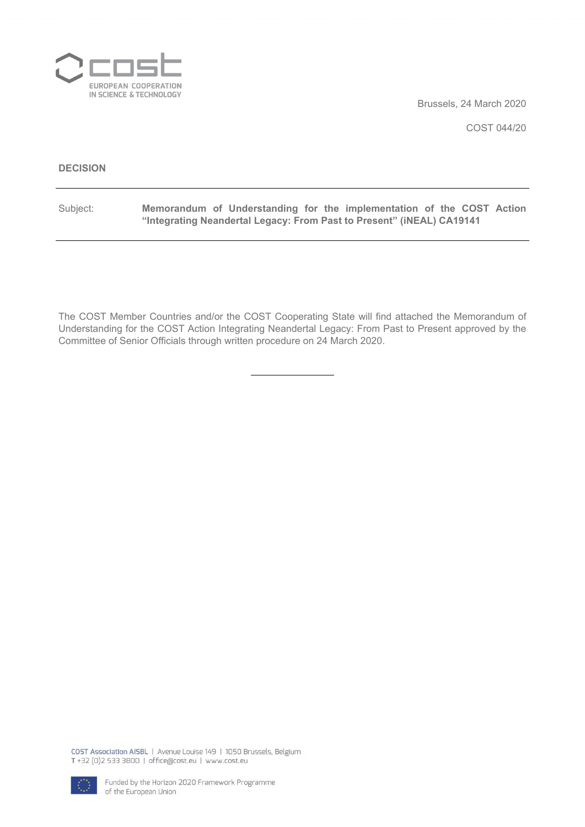

Brussels, 24 March 2020

COST 044/20

### **DECISION**

Subject: **Memorandum of Understanding for the implementation of the COST Action "Integrating Neandertal Legacy: From Past to Present" (iNEAL) CA19141**

The COST Member Countries and/or the COST Cooperating State will find attached the Memorandum of Understanding for the COST Action Integrating Neandertal Legacy: From Past to Present approved by the Committee of Senior Officials through written procedure on 24 March 2020.

COST Association AISBL | Avenue Louise 149 | 1050 Brussels, Belgium T+32 (0)2 533 3800 | office@cost.eu | www.cost.eu

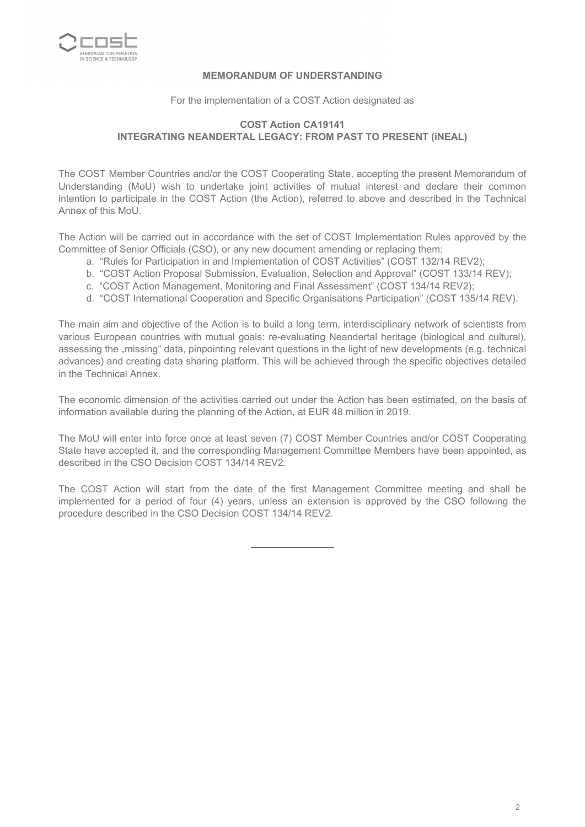

# **MEMORANDUM OF UNDERSTANDING**

For the implementation of a COST Action designated as

# **COST Action CA19141 INTEGRATING NEANDERTAL LEGACY: FROM PAST TO PRESENT (iNEAL)**

The COST Member Countries and/or the COST Cooperating State, accepting the present Memorandum of Understanding (MoU) wish to undertake joint activities of mutual interest and declare their common intention to participate in the COST Action (the Action), referred to above and described in the Technical Annex of this MoU.

The Action will be carried out in accordance with the set of COST Implementation Rules approved by the Committee of Senior Officials (CSO), or any new document amending or replacing them:

- a. "Rules for Participation in and Implementation of COST Activities" (COST 132/14 REV2);
- b. "COST Action Proposal Submission, Evaluation, Selection and Approval" (COST 133/14 REV);
- c. "COST Action Management, Monitoring and Final Assessment" (COST 134/14 REV2);
- d. "COST International Cooperation and Specific Organisations Participation" (COST 135/14 REV).

The main aim and objective of the Action is to build a long term, interdisciplinary network of scientists from various European countries with mutual goals: re-evaluating Neandertal heritage (biological and cultural), assessing the "missing" data, pinpointing relevant questions in the light of new developments (e.g. technical advances) and creating data sharing platform. This will be achieved through the specific objectives detailed in the Technical Annex.

The economic dimension of the activities carried out under the Action has been estimated, on the basis of information available during the planning of the Action, at EUR 48 million in 2019.

The MoU will enter into force once at least seven (7) COST Member Countries and/or COST Cooperating State have accepted it, and the corresponding Management Committee Members have been appointed, as described in the CSO Decision COST 134/14 REV2.

The COST Action will start from the date of the first Management Committee meeting and shall be implemented for a period of four (4) years, unless an extension is approved by the CSO following the procedure described in the CSO Decision COST 134/14 REV2.

*2*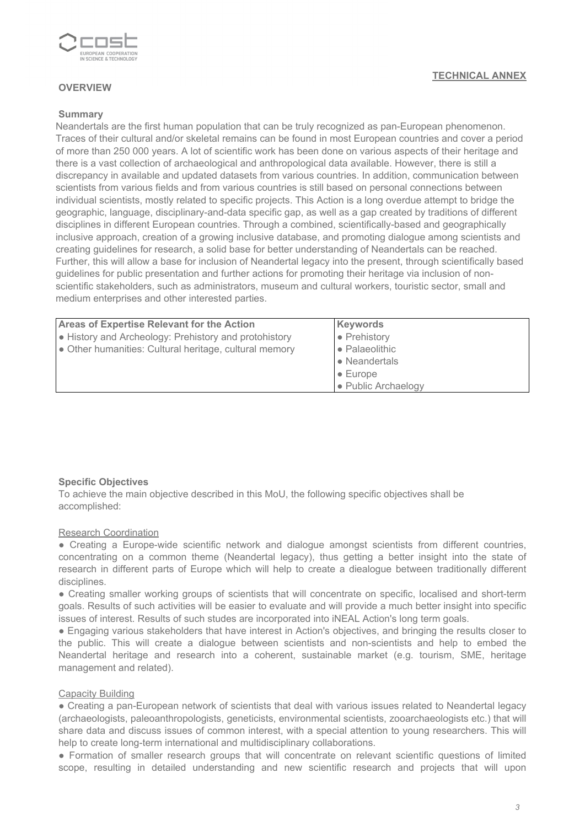

# **OVERVIEW**

### **Summary**

Neandertals are the first human population that can be truly recognized as pan-European phenomenon. Traces of their cultural and/or skeletal remains can be found in most European countries and cover a period of more than 250 000 years. A lot of scientific work has been done on various aspects of their heritage and there is a vast collection of archaeological and anthropological data available. However, there is still a discrepancy in available and updated datasets from various countries. In addition, communication between scientists from various fields and from various countries is still based on personal connections between individual scientists, mostly related to specific projects. This Action is a long overdue attempt to bridge the geographic, language, disciplinary-and-data specific gap, as well as a gap created by traditions of different disciplines in different European countries. Through a combined, scientifically-based and geographically inclusive approach, creation of a growing inclusive database, and promoting dialogue among scientists and creating guidelines for research, a solid base for better understanding of Neandertals can be reached. Further, this will allow a base for inclusion of Neandertal legacy into the present, through scientifically based guidelines for public presentation and further actions for promoting their heritage via inclusion of nonscientific stakeholders, such as administrators, museum and cultural workers, touristic sector, small and medium enterprises and other interested parties.

| <b>Areas of Expertise Relevant for the Action</b>      | Keywords            |  |  |  |  |  |
|--------------------------------------------------------|---------------------|--|--|--|--|--|
| • History and Archeology: Prehistory and protohistory  | • Prehistory        |  |  |  |  |  |
| • Other humanities: Cultural heritage, cultural memory | • Palaeolithic      |  |  |  |  |  |
|                                                        | • Neandertals       |  |  |  |  |  |
|                                                        | $\bullet$ Europe    |  |  |  |  |  |
|                                                        | • Public Archaelogy |  |  |  |  |  |

#### **Specific Objectives**

To achieve the main objective described in this MoU, the following specific objectives shall be accomplished:

#### Research Coordination

● Creating a Europe-wide scientific network and dialogue amongst scientists from different countries, concentrating on a common theme (Neandertal legacy), thus getting a better insight into the state of research in different parts of Europe which will help to create a diealogue between traditionally different disciplines.

● Creating smaller working groups of scientists that will concentrate on specific, localised and short-term goals. Results of such activities will be easier to evaluate and will provide a much better insight into specific issues of interest. Results of such studes are incorporated into iNEAL Action's long term goals.

● Engaging various stakeholders that have interest in Action's objectives, and bringing the results closer to the public. This will create a dialogue between scientists and non-scientists and help to embed the Neandertal heritage and research into a coherent, sustainable market (e.g. tourism, SME, heritage management and related).

#### Capacity Building

● Creating a pan-European network of scientists that deal with various issues related to Neandertal legacy (archaeologists, paleoanthropologists, geneticists, environmental scientists, zooarchaeologists etc.) that will share data and discuss issues of common interest, with a special attention to young researchers. This will help to create long-term international and multidisciplinary collaborations.

● Formation of smaller research groups that will concentrate on relevant scientific questions of limited scope, resulting in detailed understanding and new scientific research and projects that will upon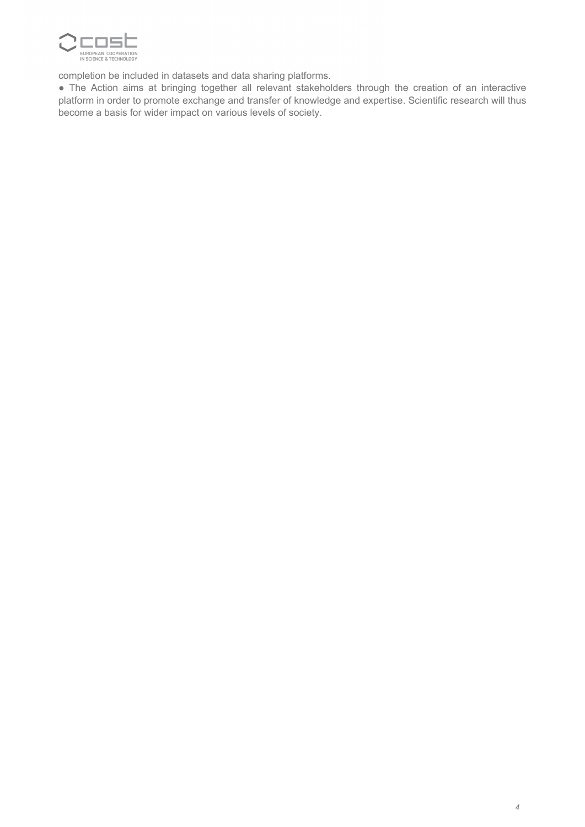

completion be included in datasets and data sharing platforms.

● The Action aims at bringing together all relevant stakeholders through the creation of an interactive platform in order to promote exchange and transfer of knowledge and expertise. Scientific research will thus become a basis for wider impact on various levels of society.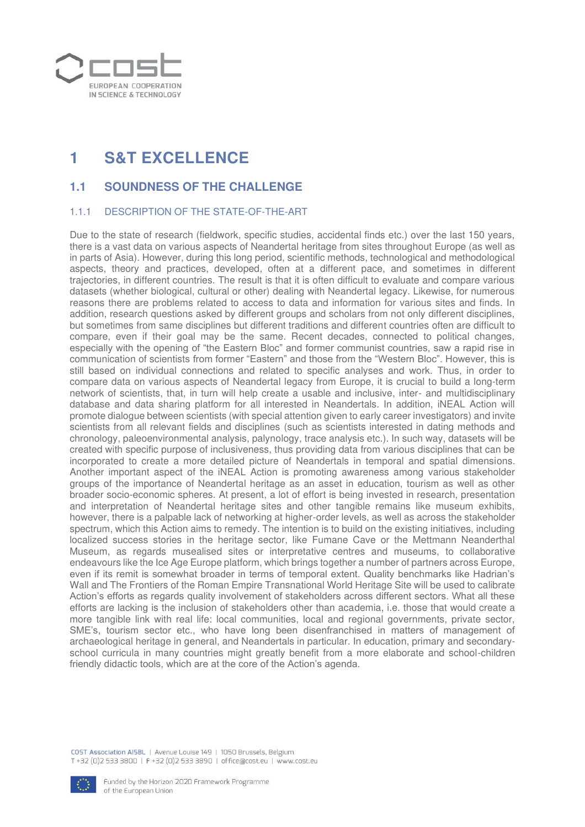

# **1 S&T EXCELLENCE**

# **1.1 SOUNDNESS OF THE CHALLENGE**

# 1.1.1 DESCRIPTION OF THE STATE-OF-THE-ART

Due to the state of research (fieldwork, specific studies, accidental finds etc.) over the last 150 years, there is a vast data on various aspects of Neandertal heritage from sites throughout Europe (as well as in parts of Asia). However, during this long period, scientific methods, technological and methodological aspects, theory and practices, developed, often at a different pace, and sometimes in different trajectories, in different countries. The result is that it is often difficult to evaluate and compare various datasets (whether biological, cultural or other) dealing with Neandertal legacy. Likewise, for numerous reasons there are problems related to access to data and information for various sites and finds. In addition, research questions asked by different groups and scholars from not only different disciplines, but sometimes from same disciplines but different traditions and different countries often are difficult to compare, even if their goal may be the same. Recent decades, connected to political changes, especially with the opening of "the Eastern Bloc" and former communist countries, saw a rapid rise in communication of scientists from former "Eastern" and those from the "Western Bloc". However, this is still based on individual connections and related to specific analyses and work. Thus, in order to compare data on various aspects of Neandertal legacy from Europe, it is crucial to build a long-term network of scientists, that, in turn will help create a usable and inclusive, inter- and multidisciplinary database and data sharing platform for all interested in Neandertals. In addition, iNEAL Action will promote dialogue between scientists (with special attention given to early career investigators) and invite scientists from all relevant fields and disciplines (such as scientists interested in dating methods and chronology, paleoenvironmental analysis, palynology, trace analysis etc.). In such way, datasets will be created with specific purpose of inclusiveness, thus providing data from various disciplines that can be incorporated to create a more detailed picture of Neandertals in temporal and spatial dimensions. Another important aspect of the iNEAL Action is promoting awareness among various stakeholder groups of the importance of Neandertal heritage as an asset in education, tourism as well as other broader socio-economic spheres. At present, a lot of effort is being invested in research, presentation and interpretation of Neandertal heritage sites and other tangible remains like museum exhibits, however, there is a palpable lack of networking at higher-order levels, as well as across the stakeholder spectrum, which this Action aims to remedy. The intention is to build on the existing initiatives, including localized success stories in the heritage sector, like Fumane Cave or the Mettmann Neanderthal Museum, as regards musealised sites or interpretative centres and museums, to collaborative endeavours like the Ice Age Europe platform, which brings together a number of partners across Europe, even if its remit is somewhat broader in terms of temporal extent. Quality benchmarks like Hadrian's Wall and The Frontiers of the Roman Empire Transnational World Heritage Site will be used to calibrate Action's efforts as regards quality involvement of stakeholders across different sectors. What all these efforts are lacking is the inclusion of stakeholders other than academia, i.e. those that would create a more tangible link with real life: local communities, local and regional governments, private sector, SME's, tourism sector etc., who have long been disenfranchised in matters of management of archaeological heritage in general, and Neandertals in particular. In education, primary and secondaryschool curricula in many countries might greatly benefit from a more elaborate and school-children friendly didactic tools, which are at the core of the Action's agenda.

COST Association AISBL | Avenue Louise 149 | 1050 Brussels, Belgium T+32 (0)2 533 3800 | F+32 (0)2 533 3890 | office@cost.eu | www.cost.eu

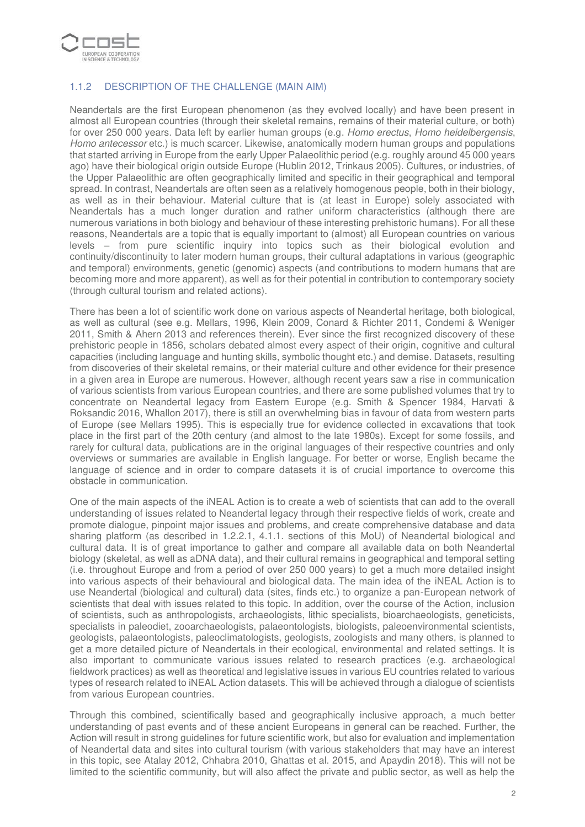

# 1.1.2 DESCRIPTION OF THE CHALLENGE (MAIN AIM)

Neandertals are the first European phenomenon (as they evolved locally) and have been present in almost all European countries (through their skeletal remains, remains of their material culture, or both) for over 250 000 years. Data left by earlier human groups (e.g. Homo erectus, Homo heidelbergensis, Homo antecessor etc.) is much scarcer. Likewise, anatomically modern human groups and populations that started arriving in Europe from the early Upper Palaeolithic period (e.g. roughly around 45 000 years ago) have their biological origin outside Europe (Hublin 2012, Trinkaus 2005). Cultures, or industries, of the Upper Palaeolithic are often geographically limited and specific in their geographical and temporal spread. In contrast, Neandertals are often seen as a relatively homogenous people, both in their biology, as well as in their behaviour. Material culture that is (at least in Europe) solely associated with Neandertals has a much longer duration and rather uniform characteristics (although there are numerous variations in both biology and behaviour of these interesting prehistoric humans). For all these reasons, Neandertals are a topic that is equally important to (almost) all European countries on various levels – from pure scientific inquiry into topics such as their biological evolution and continuity/discontinuity to later modern human groups, their cultural adaptations in various (geographic and temporal) environments, genetic (genomic) aspects (and contributions to modern humans that are becoming more and more apparent), as well as for their potential in contribution to contemporary society (through cultural tourism and related actions).

There has been a lot of scientific work done on various aspects of Neandertal heritage, both biological, as well as cultural (see e.g. Mellars, 1996, Klein 2009, Conard & Richter 2011, Condemi & Weniger 2011, Smith & Ahern 2013 and references therein). Ever since the first recognized discovery of these prehistoric people in 1856, scholars debated almost every aspect of their origin, cognitive and cultural capacities (including language and hunting skills, symbolic thought etc.) and demise. Datasets, resulting from discoveries of their skeletal remains, or their material culture and other evidence for their presence in a given area in Europe are numerous. However, although recent years saw a rise in communication of various scientists from various European countries, and there are some published volumes that try to concentrate on Neandertal legacy from Eastern Europe (e.g. Smith & Spencer 1984, Harvati & Roksandic 2016, Whallon 2017), there is still an overwhelming bias in favour of data from western parts of Europe (see Mellars 1995). This is especially true for evidence collected in excavations that took place in the first part of the 20th century (and almost to the late 1980s). Except for some fossils, and rarely for cultural data, publications are in the original languages of their respective countries and only overviews or summaries are available in English language. For better or worse, English became the language of science and in order to compare datasets it is of crucial importance to overcome this obstacle in communication.

One of the main aspects of the iNEAL Action is to create a web of scientists that can add to the overall understanding of issues related to Neandertal legacy through their respective fields of work, create and promote dialogue, pinpoint major issues and problems, and create comprehensive database and data sharing platform (as described in 1.2.2.1, 4.1.1. sections of this MoU) of Neandertal biological and cultural data. It is of great importance to gather and compare all available data on both Neandertal biology (skeletal, as well as aDNA data), and their cultural remains in geographical and temporal setting (i.e. throughout Europe and from a period of over 250 000 years) to get a much more detailed insight into various aspects of their behavioural and biological data. The main idea of the iNEAL Action is to use Neandertal (biological and cultural) data (sites, finds etc.) to organize a pan-European network of scientists that deal with issues related to this topic. In addition, over the course of the Action, inclusion of scientists, such as anthropologists, archaeologists, lithic specialists, bioarchaeologists, geneticists, specialists in paleodiet, zooarchaeologists, palaeontologists, biologists, paleoenvironmental scientists, geologists, palaeontologists, paleoclimatologists, geologists, zoologists and many others, is planned to get a more detailed picture of Neandertals in their ecological, environmental and related settings. It is also important to communicate various issues related to research practices (e.g. archaeological fieldwork practices) as well as theoretical and legislative issues in various EU countries related to various types of research related to iNEAL Action datasets. This will be achieved through a dialogue of scientists from various European countries.

Through this combined, scientifically based and geographically inclusive approach, a much better understanding of past events and of these ancient Europeans in general can be reached. Further, the Action will result in strong guidelines for future scientific work, but also for evaluation and implementation of Neandertal data and sites into cultural tourism (with various stakeholders that may have an interest in this topic, see Atalay 2012, Chhabra 2010, Ghattas et al. 2015, and Apaydin 2018). This will not be limited to the scientific community, but will also affect the private and public sector, as well as help the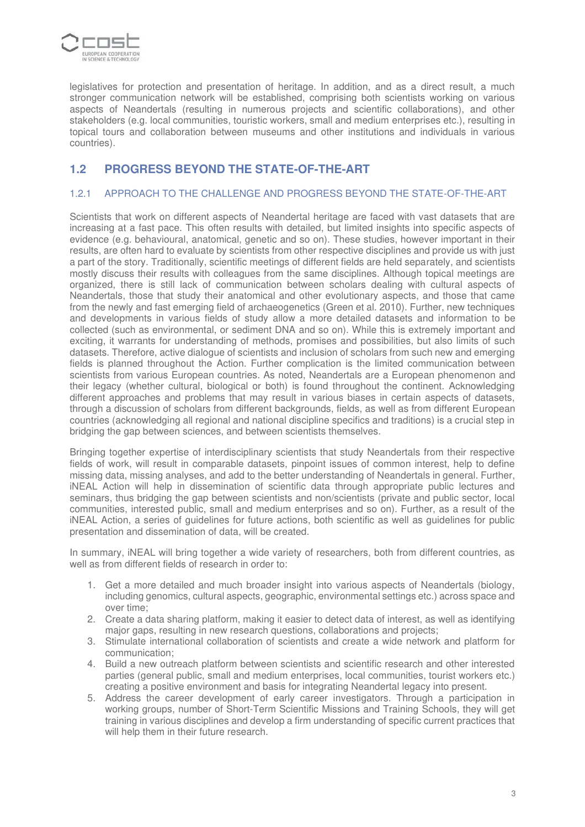

legislatives for protection and presentation of heritage. In addition, and as a direct result, a much stronger communication network will be established, comprising both scientists working on various aspects of Neandertals (resulting in numerous projects and scientific collaborations), and other stakeholders (e.g. local communities, touristic workers, small and medium enterprises etc.), resulting in topical tours and collaboration between museums and other institutions and individuals in various countries).

# **1.2 PROGRESS BEYOND THE STATE-OF-THE-ART**

# 1.2.1 APPROACH TO THE CHALLENGE AND PROGRESS BEYOND THE STATE-OF-THE-ART

Scientists that work on different aspects of Neandertal heritage are faced with vast datasets that are increasing at a fast pace. This often results with detailed, but limited insights into specific aspects of evidence (e.g. behavioural, anatomical, genetic and so on). These studies, however important in their results, are often hard to evaluate by scientists from other respective disciplines and provide us with just a part of the story. Traditionally, scientific meetings of different fields are held separately, and scientists mostly discuss their results with colleagues from the same disciplines. Although topical meetings are organized, there is still lack of communication between scholars dealing with cultural aspects of Neandertals, those that study their anatomical and other evolutionary aspects, and those that came from the newly and fast emerging field of archaeogenetics (Green et al. 2010). Further, new techniques and developments in various fields of study allow a more detailed datasets and information to be collected (such as environmental, or sediment DNA and so on). While this is extremely important and exciting, it warrants for understanding of methods, promises and possibilities, but also limits of such datasets. Therefore, active dialogue of scientists and inclusion of scholars from such new and emerging fields is planned throughout the Action. Further complication is the limited communication between scientists from various European countries. As noted, Neandertals are a European phenomenon and their legacy (whether cultural, biological or both) is found throughout the continent. Acknowledging different approaches and problems that may result in various biases in certain aspects of datasets, through a discussion of scholars from different backgrounds, fields, as well as from different European countries (acknowledging all regional and national discipline specifics and traditions) is a crucial step in bridging the gap between sciences, and between scientists themselves.

Bringing together expertise of interdisciplinary scientists that study Neandertals from their respective fields of work, will result in comparable datasets, pinpoint issues of common interest, help to define missing data, missing analyses, and add to the better understanding of Neandertals in general. Further, iNEAL Action will help in dissemination of scientific data through appropriate public lectures and seminars, thus bridging the gap between scientists and non/scientists (private and public sector, local communities, interested public, small and medium enterprises and so on). Further, as a result of the iNEAL Action, a series of guidelines for future actions, both scientific as well as guidelines for public presentation and dissemination of data, will be created.

In summary, iNEAL will bring together a wide variety of researchers, both from different countries, as well as from different fields of research in order to:

- 1. Get a more detailed and much broader insight into various aspects of Neandertals (biology, including genomics, cultural aspects, geographic, environmental settings etc.) across space and over time;
- 2. Create a data sharing platform, making it easier to detect data of interest, as well as identifying major gaps, resulting in new research questions, collaborations and projects;
- 3. Stimulate international collaboration of scientists and create a wide network and platform for communication;
- 4. Build a new outreach platform between scientists and scientific research and other interested parties (general public, small and medium enterprises, local communities, tourist workers etc.) creating a positive environment and basis for integrating Neandertal legacy into present.
- 5. Address the career development of early career investigators. Through a participation in working groups, number of Short-Term Scientific Missions and Training Schools, they will get training in various disciplines and develop a firm understanding of specific current practices that will help them in their future research.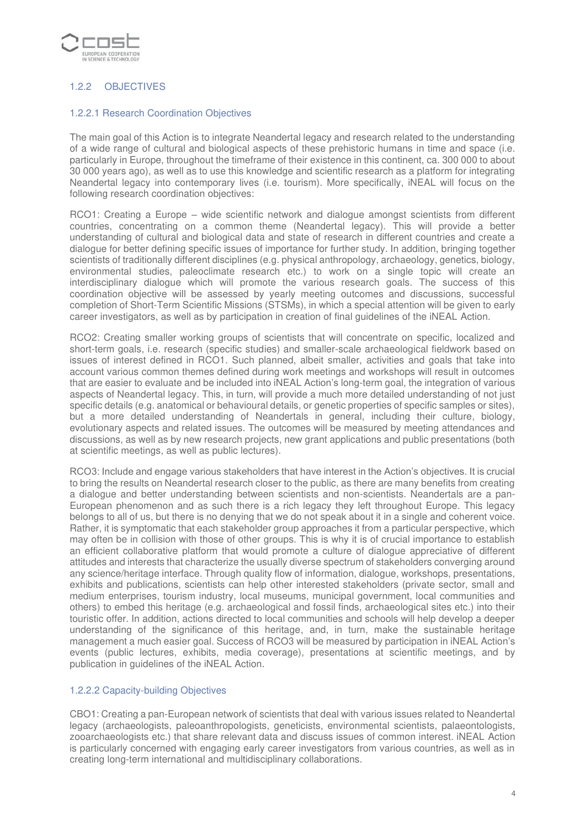

# 1.2.2 OBJECTIVES

### 1.2.2.1 Research Coordination Objectives

The main goal of this Action is to integrate Neandertal legacy and research related to the understanding of a wide range of cultural and biological aspects of these prehistoric humans in time and space (i.e. particularly in Europe, throughout the timeframe of their existence in this continent, ca. 300 000 to about 30 000 years ago), as well as to use this knowledge and scientific research as a platform for integrating Neandertal legacy into contemporary lives (i.e. tourism). More specifically, iNEAL will focus on the following research coordination objectives:

RCO1: Creating a Europe – wide scientific network and dialogue amongst scientists from different countries, concentrating on a common theme (Neandertal legacy). This will provide a better understanding of cultural and biological data and state of research in different countries and create a dialogue for better defining specific issues of importance for further study. In addition, bringing together scientists of traditionally different disciplines (e.g. physical anthropology, archaeology, genetics, biology, environmental studies, paleoclimate research etc.) to work on a single topic will create an interdisciplinary dialogue which will promote the various research goals. The success of this coordination objective will be assessed by yearly meeting outcomes and discussions, successful completion of Short-Term Scientific Missions (STSMs), in which a special attention will be given to early career investigators, as well as by participation in creation of final guidelines of the iNEAL Action.

RCO2: Creating smaller working groups of scientists that will concentrate on specific, localized and short-term goals, i.e. research (specific studies) and smaller-scale archaeological fieldwork based on issues of interest defined in RCO1. Such planned, albeit smaller, activities and goals that take into account various common themes defined during work meetings and workshops will result in outcomes that are easier to evaluate and be included into iNEAL Action's long-term goal, the integration of various aspects of Neandertal legacy. This, in turn, will provide a much more detailed understanding of not just specific details (e.g. anatomical or behavioural details, or genetic properties of specific samples or sites), but a more detailed understanding of Neandertals in general, including their culture, biology, evolutionary aspects and related issues. The outcomes will be measured by meeting attendances and discussions, as well as by new research projects, new grant applications and public presentations (both at scientific meetings, as well as public lectures).

RCO3: Include and engage various stakeholders that have interest in the Action's objectives. It is crucial to bring the results on Neandertal research closer to the public, as there are many benefits from creating a dialogue and better understanding between scientists and non-scientists. Neandertals are a pan-European phenomenon and as such there is a rich legacy they left throughout Europe. This legacy belongs to all of us, but there is no denying that we do not speak about it in a single and coherent voice. Rather, it is symptomatic that each stakeholder group approaches it from a particular perspective, which may often be in collision with those of other groups. This is why it is of crucial importance to establish an efficient collaborative platform that would promote a culture of dialogue appreciative of different attitudes and interests that characterize the usually diverse spectrum of stakeholders converging around any science/heritage interface. Through quality flow of information, dialogue, workshops, presentations, exhibits and publications, scientists can help other interested stakeholders (private sector, small and medium enterprises, tourism industry, local museums, municipal government, local communities and others) to embed this heritage (e.g. archaeological and fossil finds, archaeological sites etc.) into their touristic offer. In addition, actions directed to local communities and schools will help develop a deeper understanding of the significance of this heritage, and, in turn, make the sustainable heritage management a much easier goal. Success of RCO3 will be measured by participation in iNEAL Action's events (public lectures, exhibits, media coverage), presentations at scientific meetings, and by publication in guidelines of the iNEAL Action.

#### 1.2.2.2 Capacity-building Objectives

CBO1: Creating a pan-European network of scientists that deal with various issues related to Neandertal legacy (archaeologists, paleoanthropologists, geneticists, environmental scientists, palaeontologists, zooarchaeologists etc.) that share relevant data and discuss issues of common interest. iNEAL Action is particularly concerned with engaging early career investigators from various countries, as well as in creating long-term international and multidisciplinary collaborations.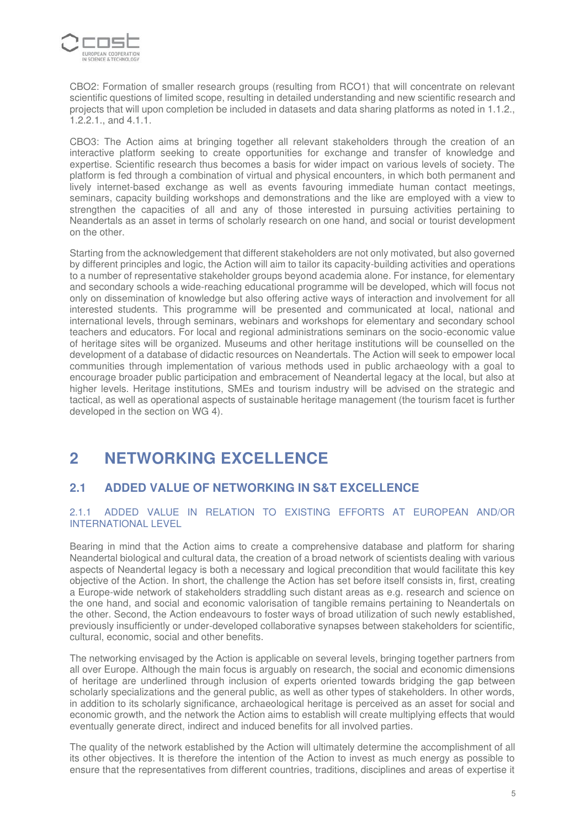

CBO2: Formation of smaller research groups (resulting from RCO1) that will concentrate on relevant scientific questions of limited scope, resulting in detailed understanding and new scientific research and projects that will upon completion be included in datasets and data sharing platforms as noted in 1.1.2., 1.2.2.1., and 4.1.1.

CBO3: The Action aims at bringing together all relevant stakeholders through the creation of an interactive platform seeking to create opportunities for exchange and transfer of knowledge and expertise. Scientific research thus becomes a basis for wider impact on various levels of society. The platform is fed through a combination of virtual and physical encounters, in which both permanent and lively internet-based exchange as well as events favouring immediate human contact meetings, seminars, capacity building workshops and demonstrations and the like are employed with a view to strengthen the capacities of all and any of those interested in pursuing activities pertaining to Neandertals as an asset in terms of scholarly research on one hand, and social or tourist development on the other.

Starting from the acknowledgement that different stakeholders are not only motivated, but also governed by different principles and logic, the Action will aim to tailor its capacity-building activities and operations to a number of representative stakeholder groups beyond academia alone. For instance, for elementary and secondary schools a wide-reaching educational programme will be developed, which will focus not only on dissemination of knowledge but also offering active ways of interaction and involvement for all interested students. This programme will be presented and communicated at local, national and international levels, through seminars, webinars and workshops for elementary and secondary school teachers and educators. For local and regional administrations seminars on the socio-economic value of heritage sites will be organized. Museums and other heritage institutions will be counselled on the development of a database of didactic resources on Neandertals. The Action will seek to empower local communities through implementation of various methods used in public archaeology with a goal to encourage broader public participation and embracement of Neandertal legacy at the local, but also at higher levels. Heritage institutions, SMEs and tourism industry will be advised on the strategic and tactical, as well as operational aspects of sustainable heritage management (the tourism facet is further developed in the section on WG 4).

# **2 NETWORKING EXCELLENCE**

# **2.1 ADDED VALUE OF NETWORKING IN S&T EXCELLENCE**

# 2.1.1 ADDED VALUE IN RELATION TO EXISTING EFFORTS AT EUROPEAN AND/OR INTERNATIONAL LEVEL

Bearing in mind that the Action aims to create a comprehensive database and platform for sharing Neandertal biological and cultural data, the creation of a broad network of scientists dealing with various aspects of Neandertal legacy is both a necessary and logical precondition that would facilitate this key objective of the Action. In short, the challenge the Action has set before itself consists in, first, creating a Europe-wide network of stakeholders straddling such distant areas as e.g. research and science on the one hand, and social and economic valorisation of tangible remains pertaining to Neandertals on the other. Second, the Action endeavours to foster ways of broad utilization of such newly established, previously insufficiently or under-developed collaborative synapses between stakeholders for scientific, cultural, economic, social and other benefits.

The networking envisaged by the Action is applicable on several levels, bringing together partners from all over Europe. Although the main focus is arguably on research, the social and economic dimensions of heritage are underlined through inclusion of experts oriented towards bridging the gap between scholarly specializations and the general public, as well as other types of stakeholders. In other words, in addition to its scholarly significance, archaeological heritage is perceived as an asset for social and economic growth, and the network the Action aims to establish will create multiplying effects that would eventually generate direct, indirect and induced benefits for all involved parties.

The quality of the network established by the Action will ultimately determine the accomplishment of all its other objectives. It is therefore the intention of the Action to invest as much energy as possible to ensure that the representatives from different countries, traditions, disciplines and areas of expertise it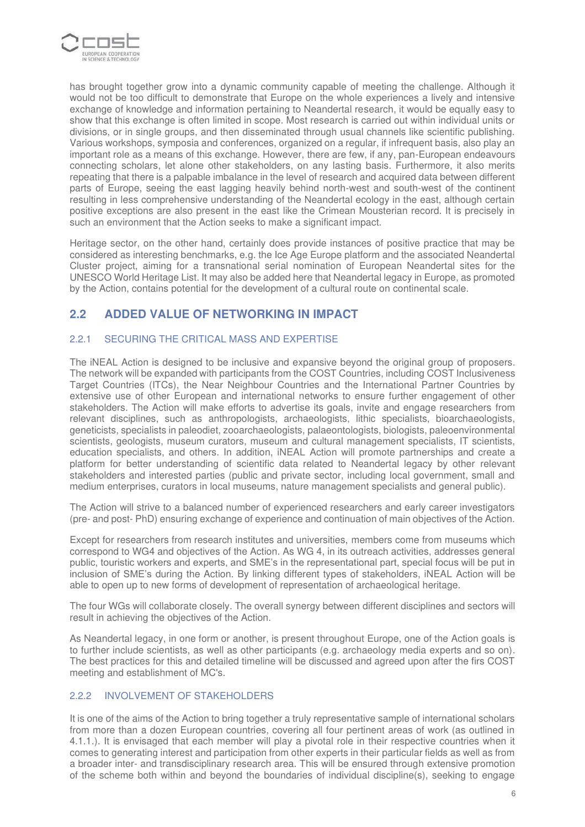

has brought together grow into a dynamic community capable of meeting the challenge. Although it would not be too difficult to demonstrate that Europe on the whole experiences a lively and intensive exchange of knowledge and information pertaining to Neandertal research, it would be equally easy to show that this exchange is often limited in scope. Most research is carried out within individual units or divisions, or in single groups, and then disseminated through usual channels like scientific publishing. Various workshops, symposia and conferences, organized on a regular, if infrequent basis, also play an important role as a means of this exchange. However, there are few, if any, pan-European endeavours connecting scholars, let alone other stakeholders, on any lasting basis. Furthermore, it also merits repeating that there is a palpable imbalance in the level of research and acquired data between different parts of Europe, seeing the east lagging heavily behind north-west and south-west of the continent resulting in less comprehensive understanding of the Neandertal ecology in the east, although certain positive exceptions are also present in the east like the Crimean Mousterian record. It is precisely in such an environment that the Action seeks to make a significant impact.

Heritage sector, on the other hand, certainly does provide instances of positive practice that may be considered as interesting benchmarks, e.g. the Ice Age Europe platform and the associated Neandertal Cluster project, aiming for a transnational serial nomination of European Neandertal sites for the UNESCO World Heritage List. It may also be added here that Neandertal legacy in Europe, as promoted by the Action, contains potential for the development of a cultural route on continental scale.

# **2.2 ADDED VALUE OF NETWORKING IN IMPACT**

# 2.2.1 SECURING THE CRITICAL MASS AND EXPERTISE

The iNEAL Action is designed to be inclusive and expansive beyond the original group of proposers. The network will be expanded with participants from the COST Countries, including COST Inclusiveness Target Countries (ITCs), the Near Neighbour Countries and the International Partner Countries by extensive use of other European and international networks to ensure further engagement of other stakeholders. The Action will make efforts to advertise its goals, invite and engage researchers from relevant disciplines, such as anthropologists, archaeologists, lithic specialists, bioarchaeologists, geneticists, specialists in paleodiet, zooarchaeologists, palaeontologists, biologists, paleoenvironmental scientists, geologists, museum curators, museum and cultural management specialists, IT scientists, education specialists, and others. In addition, iNEAL Action will promote partnerships and create a platform for better understanding of scientific data related to Neandertal legacy by other relevant stakeholders and interested parties (public and private sector, including local government, small and medium enterprises, curators in local museums, nature management specialists and general public).

The Action will strive to a balanced number of experienced researchers and early career investigators (pre- and post- PhD) ensuring exchange of experience and continuation of main objectives of the Action.

Except for researchers from research institutes and universities, members come from museums which correspond to WG4 and objectives of the Action. As WG 4, in its outreach activities, addresses general public, touristic workers and experts, and SME's in the representational part, special focus will be put in inclusion of SME's during the Action. By linking different types of stakeholders, iNEAL Action will be able to open up to new forms of development of representation of archaeological heritage.

The four WGs will collaborate closely. The overall synergy between different disciplines and sectors will result in achieving the objectives of the Action.

As Neandertal legacy, in one form or another, is present throughout Europe, one of the Action goals is to further include scientists, as well as other participants (e.g. archaeology media experts and so on). The best practices for this and detailed timeline will be discussed and agreed upon after the firs COST meeting and establishment of MC's.

# 2.2.2 INVOLVEMENT OF STAKEHOLDERS

It is one of the aims of the Action to bring together a truly representative sample of international scholars from more than a dozen European countries, covering all four pertinent areas of work (as outlined in 4.1.1.). It is envisaged that each member will play a pivotal role in their respective countries when it comes to generating interest and participation from other experts in their particular fields as well as from a broader inter- and transdisciplinary research area. This will be ensured through extensive promotion of the scheme both within and beyond the boundaries of individual discipline(s), seeking to engage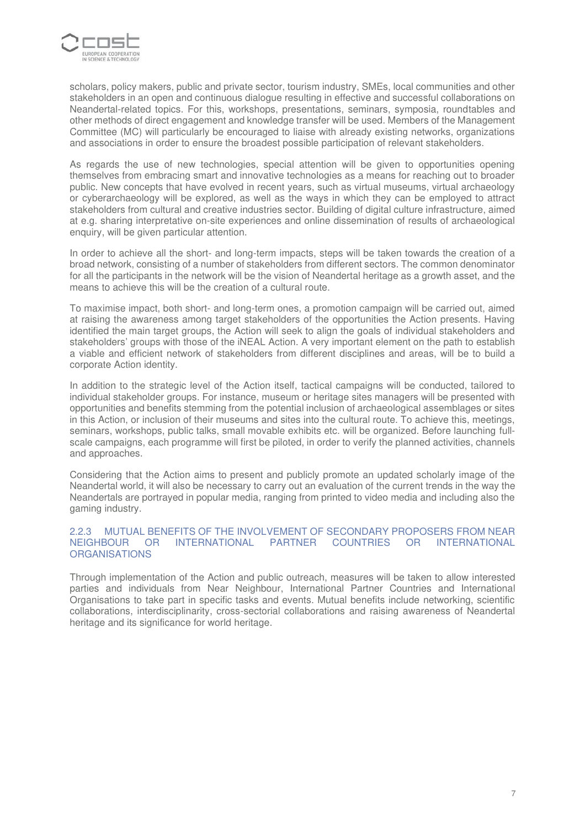

scholars, policy makers, public and private sector, tourism industry, SMEs, local communities and other stakeholders in an open and continuous dialogue resulting in effective and successful collaborations on Neandertal-related topics. For this, workshops, presentations, seminars, symposia, roundtables and other methods of direct engagement and knowledge transfer will be used. Members of the Management Committee (MC) will particularly be encouraged to liaise with already existing networks, organizations and associations in order to ensure the broadest possible participation of relevant stakeholders.

As regards the use of new technologies, special attention will be given to opportunities opening themselves from embracing smart and innovative technologies as a means for reaching out to broader public. New concepts that have evolved in recent years, such as virtual museums, virtual archaeology or cyberarchaeology will be explored, as well as the ways in which they can be employed to attract stakeholders from cultural and creative industries sector. Building of digital culture infrastructure, aimed at e.g. sharing interpretative on-site experiences and online dissemination of results of archaeological enquiry, will be given particular attention.

In order to achieve all the short- and long-term impacts, steps will be taken towards the creation of a broad network, consisting of a number of stakeholders from different sectors. The common denominator for all the participants in the network will be the vision of Neandertal heritage as a growth asset, and the means to achieve this will be the creation of a cultural route.

To maximise impact, both short- and long-term ones, a promotion campaign will be carried out, aimed at raising the awareness among target stakeholders of the opportunities the Action presents. Having identified the main target groups, the Action will seek to align the goals of individual stakeholders and stakeholders' groups with those of the iNEAL Action. A very important element on the path to establish a viable and efficient network of stakeholders from different disciplines and areas, will be to build a corporate Action identity.

In addition to the strategic level of the Action itself, tactical campaigns will be conducted, tailored to individual stakeholder groups. For instance, museum or heritage sites managers will be presented with opportunities and benefits stemming from the potential inclusion of archaeological assemblages or sites in this Action, or inclusion of their museums and sites into the cultural route. To achieve this, meetings, seminars, workshops, public talks, small movable exhibits etc. will be organized. Before launching fullscale campaigns, each programme will first be piloted, in order to verify the planned activities, channels and approaches.

Considering that the Action aims to present and publicly promote an updated scholarly image of the Neandertal world, it will also be necessary to carry out an evaluation of the current trends in the way the Neandertals are portrayed in popular media, ranging from printed to video media and including also the gaming industry.

#### 2.2.3 MUTUAL BENEFITS OF THE INVOLVEMENT OF SECONDARY PROPOSERS FROM NEAR NEIGHBOUR OR INTERNATIONAL PARTNER COUNTRIES OR INTERNATIONAL **ORGANISATIONS**

Through implementation of the Action and public outreach, measures will be taken to allow interested parties and individuals from Near Neighbour, International Partner Countries and International Organisations to take part in specific tasks and events. Mutual benefits include networking, scientific collaborations, interdisciplinarity, cross-sectorial collaborations and raising awareness of Neandertal heritage and its significance for world heritage.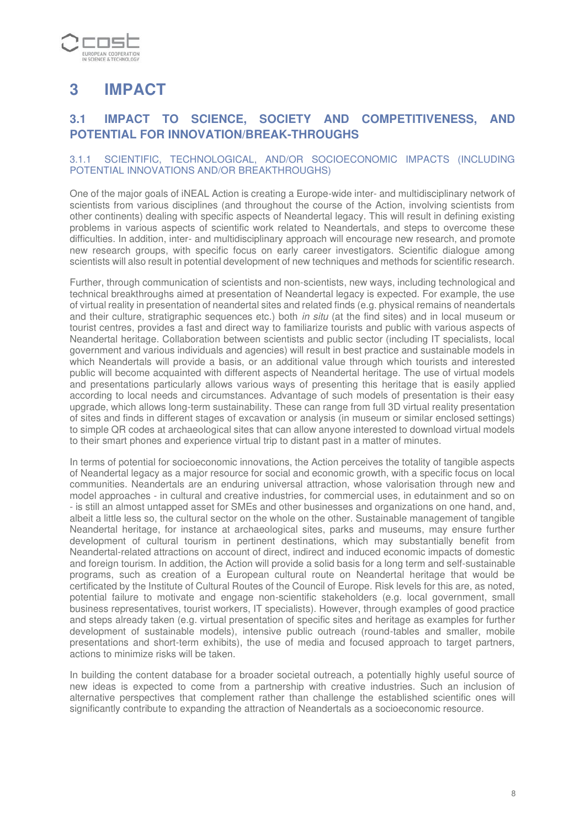

# **3 IMPACT**

# **3.1 IMPACT TO SCIENCE, SOCIETY AND COMPETITIVENESS, AND POTENTIAL FOR INNOVATION/BREAK-THROUGHS**

# 3.1.1 SCIENTIFIC, TECHNOLOGICAL, AND/OR SOCIOECONOMIC IMPACTS (INCLUDING POTENTIAL INNOVATIONS AND/OR BREAKTHROUGHS)

One of the major goals of iNEAL Action is creating a Europe-wide inter- and multidisciplinary network of scientists from various disciplines (and throughout the course of the Action, involving scientists from other continents) dealing with specific aspects of Neandertal legacy. This will result in defining existing problems in various aspects of scientific work related to Neandertals, and steps to overcome these difficulties. In addition, inter- and multidisciplinary approach will encourage new research, and promote new research groups, with specific focus on early career investigators. Scientific dialogue among scientists will also result in potential development of new techniques and methods for scientific research.

Further, through communication of scientists and non-scientists, new ways, including technological and technical breakthroughs aimed at presentation of Neandertal legacy is expected. For example, the use of virtual reality in presentation of neandertal sites and related finds (e.g. physical remains of neandertals and their culture, stratigraphic sequences etc.) both in situ (at the find sites) and in local museum or tourist centres, provides a fast and direct way to familiarize tourists and public with various aspects of Neandertal heritage. Collaboration between scientists and public sector (including IT specialists, local government and various individuals and agencies) will result in best practice and sustainable models in which Neandertals will provide a basis, or an additional value through which tourists and interested public will become acquainted with different aspects of Neandertal heritage. The use of virtual models and presentations particularly allows various ways of presenting this heritage that is easily applied according to local needs and circumstances. Advantage of such models of presentation is their easy upgrade, which allows long-term sustainability. These can range from full 3D virtual reality presentation of sites and finds in different stages of excavation or analysis (in museum or similar enclosed settings) to simple QR codes at archaeological sites that can allow anyone interested to download virtual models to their smart phones and experience virtual trip to distant past in a matter of minutes.

In terms of potential for socioeconomic innovations, the Action perceives the totality of tangible aspects of Neandertal legacy as a major resource for social and economic growth, with a specific focus on local communities. Neandertals are an enduring universal attraction, whose valorisation through new and model approaches - in cultural and creative industries, for commercial uses, in edutainment and so on - is still an almost untapped asset for SMEs and other businesses and organizations on one hand, and, albeit a little less so, the cultural sector on the whole on the other. Sustainable management of tangible Neandertal heritage, for instance at archaeological sites, parks and museums, may ensure further development of cultural tourism in pertinent destinations, which may substantially benefit from Neandertal-related attractions on account of direct, indirect and induced economic impacts of domestic and foreign tourism. In addition, the Action will provide a solid basis for a long term and self-sustainable programs, such as creation of a European cultural route on Neandertal heritage that would be certificated by the Institute of Cultural Routes of the Council of Europe. Risk levels for this are, as noted, potential failure to motivate and engage non-scientific stakeholders (e.g. local government, small business representatives, tourist workers, IT specialists). However, through examples of good practice and steps already taken (e.g. virtual presentation of specific sites and heritage as examples for further development of sustainable models), intensive public outreach (round-tables and smaller, mobile presentations and short-term exhibits), the use of media and focused approach to target partners, actions to minimize risks will be taken.

In building the content database for a broader societal outreach, a potentially highly useful source of new ideas is expected to come from a partnership with creative industries. Such an inclusion of alternative perspectives that complement rather than challenge the established scientific ones will significantly contribute to expanding the attraction of Neandertals as a socioeconomic resource.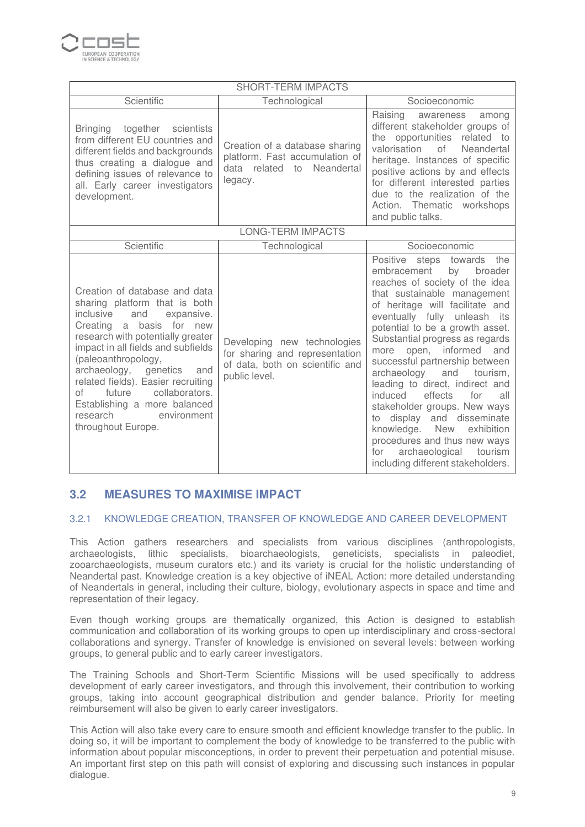

| <b>SHORT-TERM IMPACTS</b>                                                                                                                                                                                                                                                                                                                                                                                                     |                                                                                                                   |                                                                                                                                                                                                                                                                                                                                                                                                                                                                                                                                                                                                                                                      |  |  |  |  |  |  |  |  |
|-------------------------------------------------------------------------------------------------------------------------------------------------------------------------------------------------------------------------------------------------------------------------------------------------------------------------------------------------------------------------------------------------------------------------------|-------------------------------------------------------------------------------------------------------------------|------------------------------------------------------------------------------------------------------------------------------------------------------------------------------------------------------------------------------------------------------------------------------------------------------------------------------------------------------------------------------------------------------------------------------------------------------------------------------------------------------------------------------------------------------------------------------------------------------------------------------------------------------|--|--|--|--|--|--|--|--|
| Scientific                                                                                                                                                                                                                                                                                                                                                                                                                    | Technological                                                                                                     | Socioeconomic                                                                                                                                                                                                                                                                                                                                                                                                                                                                                                                                                                                                                                        |  |  |  |  |  |  |  |  |
| <b>Bringing</b><br>together scientists<br>from different EU countries and<br>different fields and backgrounds<br>thus creating a dialogue and<br>defining issues of relevance to<br>all. Early career investigators<br>development.                                                                                                                                                                                           | Creation of a database sharing<br>platform. Fast accumulation of<br>data related to Neandertal<br>legacy.         | Raising<br>awareness<br>among<br>different stakeholder groups of<br>the opportunities related to<br>valorisation<br>of<br>Neandertal<br>heritage. Instances of specific<br>positive actions by and effects<br>for different interested parties<br>due to the realization of the<br>Action. Thematic workshops<br>and public talks.                                                                                                                                                                                                                                                                                                                   |  |  |  |  |  |  |  |  |
| <b>LONG-TERM IMPACTS</b>                                                                                                                                                                                                                                                                                                                                                                                                      |                                                                                                                   |                                                                                                                                                                                                                                                                                                                                                                                                                                                                                                                                                                                                                                                      |  |  |  |  |  |  |  |  |
| Scientific                                                                                                                                                                                                                                                                                                                                                                                                                    | Technological                                                                                                     | Socioeconomic                                                                                                                                                                                                                                                                                                                                                                                                                                                                                                                                                                                                                                        |  |  |  |  |  |  |  |  |
| Creation of database and data<br>sharing platform that is both<br>expansive.<br>inclusive<br>and<br>Creating a<br>basis for new<br>research with potentially greater<br>impact in all fields and subfields<br>(paleoanthropology,<br>archaeology,<br>genetics<br>and<br>related fields). Easier recruiting<br>collaborators.<br>future<br>оf<br>Establishing a more balanced<br>research<br>environment<br>throughout Europe. | Developing new technologies<br>for sharing and representation<br>of data, both on scientific and<br>public level. | Positive steps towards the<br>embracement<br>by<br>broader<br>reaches of society of the idea<br>that sustainable management<br>of heritage will facilitate and<br>eventually fully unleash its<br>potential to be a growth asset.<br>Substantial progress as regards<br>more open, informed<br>and<br>successful partnership between<br>archaeology<br>and<br>tourism,<br>leading to direct, indirect and<br>induced<br>effects<br>for<br>all<br>stakeholder groups. New ways<br>to display and disseminate<br>knowledge. New<br>exhibition<br>procedures and thus new ways<br>archaeological<br>tourism<br>for<br>including different stakeholders. |  |  |  |  |  |  |  |  |

# **3.2 MEASURES TO MAXIMISE IMPACT**

# 3.2.1 KNOWLEDGE CREATION, TRANSFER OF KNOWLEDGE AND CAREER DEVELOPMENT

This Action gathers researchers and specialists from various disciplines (anthropologists, archaeologists, lithic specialists, bioarchaeologists, geneticists, specialists in paleodiet, zooarchaeologists, museum curators etc.) and its variety is crucial for the holistic understanding of Neandertal past. Knowledge creation is a key objective of iNEAL Action: more detailed understanding of Neandertals in general, including their culture, biology, evolutionary aspects in space and time and representation of their legacy.

Even though working groups are thematically organized, this Action is designed to establish communication and collaboration of its working groups to open up interdisciplinary and cross-sectoral collaborations and synergy. Transfer of knowledge is envisioned on several levels: between working groups, to general public and to early career investigators.

The Training Schools and Short-Term Scientific Missions will be used specifically to address development of early career investigators, and through this involvement, their contribution to working groups, taking into account geographical distribution and gender balance. Priority for meeting reimbursement will also be given to early career investigators.

This Action will also take every care to ensure smooth and efficient knowledge transfer to the public. In doing so, it will be important to complement the body of knowledge to be transferred to the public with information about popular misconceptions, in order to prevent their perpetuation and potential misuse. An important first step on this path will consist of exploring and discussing such instances in popular dialogue.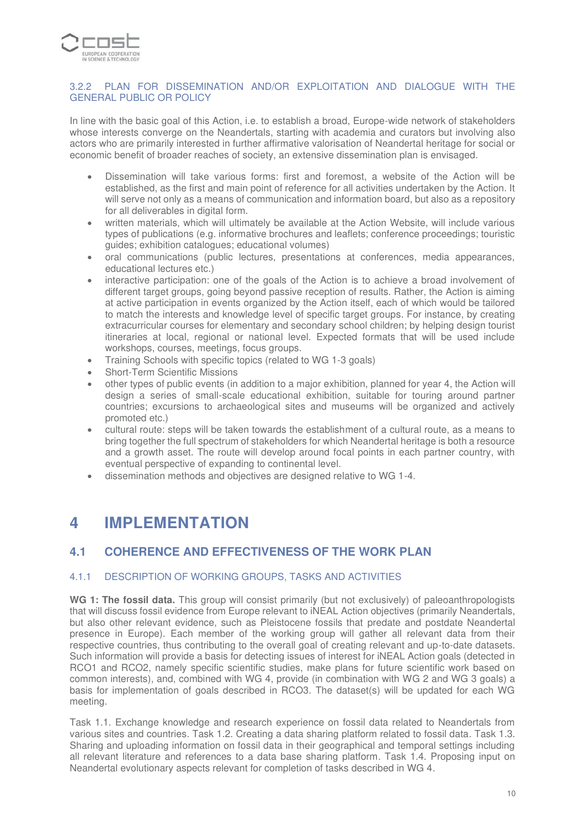

## 3.2.2 PLAN FOR DISSEMINATION AND/OR EXPLOITATION AND DIALOGUE WITH THE GENERAL PUBLIC OR POLICY

In line with the basic goal of this Action, i.e. to establish a broad, Europe-wide network of stakeholders whose interests converge on the Neandertals, starting with academia and curators but involving also actors who are primarily interested in further affirmative valorisation of Neandertal heritage for social or economic benefit of broader reaches of society, an extensive dissemination plan is envisaged.

- Dissemination will take various forms: first and foremost, a website of the Action will be established, as the first and main point of reference for all activities undertaken by the Action. It will serve not only as a means of communication and information board, but also as a repository for all deliverables in digital form.
- written materials, which will ultimately be available at the Action Website, will include various types of publications (e.g. informative brochures and leaflets; conference proceedings; touristic guides; exhibition catalogues; educational volumes)
- oral communications (public lectures, presentations at conferences, media appearances, educational lectures etc.)
- interactive participation: one of the goals of the Action is to achieve a broad involvement of different target groups, going beyond passive reception of results. Rather, the Action is aiming at active participation in events organized by the Action itself, each of which would be tailored to match the interests and knowledge level of specific target groups. For instance, by creating extracurricular courses for elementary and secondary school children; by helping design tourist itineraries at local, regional or national level. Expected formats that will be used include workshops, courses, meetings, focus groups.
- Training Schools with specific topics (related to WG 1-3 goals)
- Short-Term Scientific Missions
- other types of public events (in addition to a major exhibition, planned for year 4, the Action will design a series of small-scale educational exhibition, suitable for touring around partner countries; excursions to archaeological sites and museums will be organized and actively promoted etc.)
- cultural route: steps will be taken towards the establishment of a cultural route, as a means to bring together the full spectrum of stakeholders for which Neandertal heritage is both a resource and a growth asset. The route will develop around focal points in each partner country, with eventual perspective of expanding to continental level.
- dissemination methods and objectives are designed relative to WG 1-4.

# **4 IMPLEMENTATION**

# **4.1 COHERENCE AND EFFECTIVENESS OF THE WORK PLAN**

# 4.1.1 DESCRIPTION OF WORKING GROUPS, TASKS AND ACTIVITIES

**WG 1: The fossil data.** This group will consist primarily (but not exclusively) of paleoanthropologists that will discuss fossil evidence from Europe relevant to iNEAL Action objectives (primarily Neandertals, but also other relevant evidence, such as Pleistocene fossils that predate and postdate Neandertal presence in Europe). Each member of the working group will gather all relevant data from their respective countries, thus contributing to the overall goal of creating relevant and up-to-date datasets. Such information will provide a basis for detecting issues of interest for iNEAL Action goals (detected in RCO1 and RCO2, namely specific scientific studies, make plans for future scientific work based on common interests), and, combined with WG 4, provide (in combination with WG 2 and WG 3 goals) a basis for implementation of goals described in RCO3. The dataset(s) will be updated for each WG meeting.

Task 1.1. Exchange knowledge and research experience on fossil data related to Neandertals from various sites and countries. Task 1.2. Creating a data sharing platform related to fossil data. Task 1.3. Sharing and uploading information on fossil data in their geographical and temporal settings including all relevant literature and references to a data base sharing platform. Task 1.4. Proposing input on Neandertal evolutionary aspects relevant for completion of tasks described in WG 4.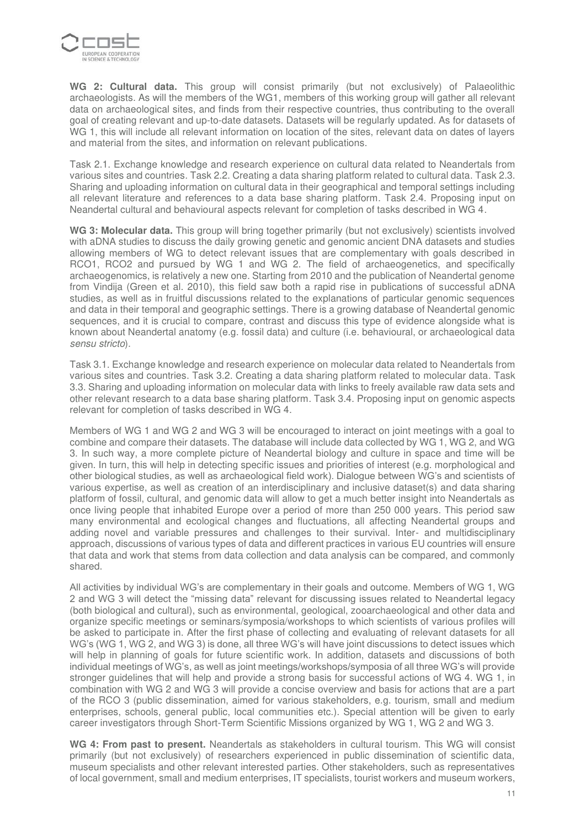

**WG 2: Cultural data.** This group will consist primarily (but not exclusively) of Palaeolithic archaeologists. As will the members of the WG1, members of this working group will gather all relevant data on archaeological sites, and finds from their respective countries, thus contributing to the overall goal of creating relevant and up-to-date datasets. Datasets will be regularly updated. As for datasets of WG 1, this will include all relevant information on location of the sites, relevant data on dates of layers and material from the sites, and information on relevant publications.

Task 2.1. Exchange knowledge and research experience on cultural data related to Neandertals from various sites and countries. Task 2.2. Creating a data sharing platform related to cultural data. Task 2.3. Sharing and uploading information on cultural data in their geographical and temporal settings including all relevant literature and references to a data base sharing platform. Task 2.4. Proposing input on Neandertal cultural and behavioural aspects relevant for completion of tasks described in WG 4.

**WG 3: Molecular data.** This group will bring together primarily (but not exclusively) scientists involved with aDNA studies to discuss the daily growing genetic and genomic ancient DNA datasets and studies allowing members of WG to detect relevant issues that are complementary with goals described in RCO1, RCO2 and pursued by WG 1 and WG 2. The field of archaeogenetics, and specifically archaeogenomics, is relatively a new one. Starting from 2010 and the publication of Neandertal genome from Vindija (Green et al. 2010), this field saw both a rapid rise in publications of successful aDNA studies, as well as in fruitful discussions related to the explanations of particular genomic sequences and data in their temporal and geographic settings. There is a growing database of Neandertal genomic sequences, and it is crucial to compare, contrast and discuss this type of evidence alongside what is known about Neandertal anatomy (e.g. fossil data) and culture (i.e. behavioural, or archaeological data sensu stricto).

Task 3.1. Exchange knowledge and research experience on molecular data related to Neandertals from various sites and countries. Task 3.2. Creating a data sharing platform related to molecular data. Task 3.3. Sharing and uploading information on molecular data with links to freely available raw data sets and other relevant research to a data base sharing platform. Task 3.4. Proposing input on genomic aspects relevant for completion of tasks described in WG 4.

Members of WG 1 and WG 2 and WG 3 will be encouraged to interact on joint meetings with a goal to combine and compare their datasets. The database will include data collected by WG 1, WG 2, and WG 3. In such way, a more complete picture of Neandertal biology and culture in space and time will be given. In turn, this will help in detecting specific issues and priorities of interest (e.g. morphological and other biological studies, as well as archaeological field work). Dialogue between WG's and scientists of various expertise, as well as creation of an interdisciplinary and inclusive dataset(s) and data sharing platform of fossil, cultural, and genomic data will allow to get a much better insight into Neandertals as once living people that inhabited Europe over a period of more than 250 000 years. This period saw many environmental and ecological changes and fluctuations, all affecting Neandertal groups and adding novel and variable pressures and challenges to their survival. Inter- and multidisciplinary approach, discussions of various types of data and different practices in various EU countries will ensure that data and work that stems from data collection and data analysis can be compared, and commonly shared.

All activities by individual WG's are complementary in their goals and outcome. Members of WG 1, WG 2 and WG 3 will detect the "missing data" relevant for discussing issues related to Neandertal legacy (both biological and cultural), such as environmental, geological, zooarchaeological and other data and organize specific meetings or seminars/symposia/workshops to which scientists of various profiles will be asked to participate in. After the first phase of collecting and evaluating of relevant datasets for all WG's (WG 1, WG 2, and WG 3) is done, all three WG's will have joint discussions to detect issues which will help in planning of goals for future scientific work. In addition, datasets and discussions of both individual meetings of WG's, as well as joint meetings/workshops/symposia of all three WG's will provide stronger guidelines that will help and provide a strong basis for successful actions of WG 4. WG 1, in combination with WG 2 and WG 3 will provide a concise overview and basis for actions that are a part of the RCO 3 (public dissemination, aimed for various stakeholders, e.g. tourism, small and medium enterprises, schools, general public, local communities etc.). Special attention will be given to early career investigators through Short-Term Scientific Missions organized by WG 1, WG 2 and WG 3.

**WG 4: From past to present.** Neandertals as stakeholders in cultural tourism. This WG will consist primarily (but not exclusively) of researchers experienced in public dissemination of scientific data, museum specialists and other relevant interested parties. Other stakeholders, such as representatives of local government, small and medium enterprises, IT specialists, tourist workers and museum workers,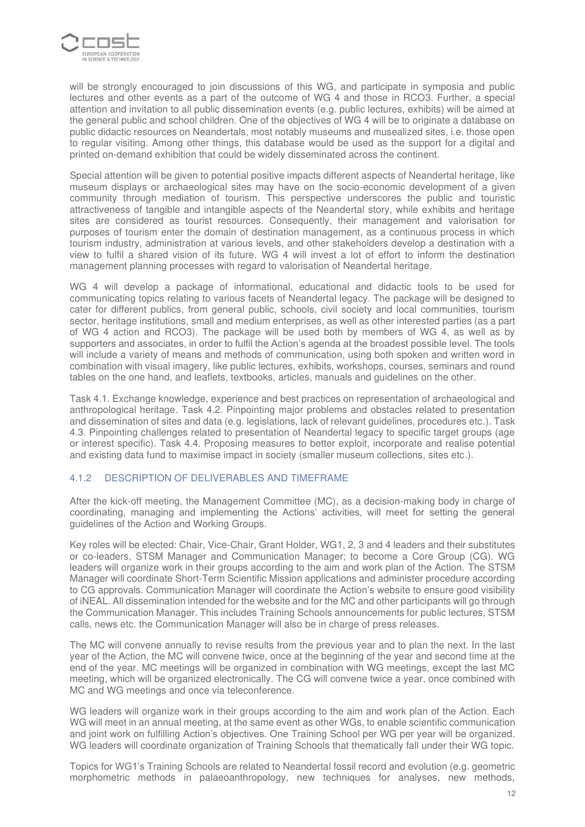

will be strongly encouraged to join discussions of this WG, and participate in symposia and public lectures and other events as a part of the outcome of WG 4 and those in RCO3. Further, a special attention and invitation to all public dissemination events (e.g. public lectures, exhibits) will be aimed at the general public and school children. One of the objectives of WG 4 will be to originate a database on public didactic resources on Neandertals, most notably museums and musealized sites, i.e. those open to regular visiting. Among other things, this database would be used as the support for a digital and printed on-demand exhibition that could be widely disseminated across the continent.

Special attention will be given to potential positive impacts different aspects of Neandertal heritage, like museum displays or archaeological sites may have on the socio-economic development of a given community through mediation of tourism. This perspective underscores the public and touristic attractiveness of tangible and intangible aspects of the Neandertal story, while exhibits and heritage sites are considered as tourist resources. Consequently, their management and valorisation for purposes of tourism enter the domain of destination management, as a continuous process in which tourism industry, administration at various levels, and other stakeholders develop a destination with a view to fulfil a shared vision of its future. WG 4 will invest a lot of effort to inform the destination management planning processes with regard to valorisation of Neandertal heritage.

WG 4 will develop a package of informational, educational and didactic tools to be used for communicating topics relating to various facets of Neandertal legacy. The package will be designed to cater for different publics, from general public, schools, civil society and local communities, tourism sector, heritage institutions, small and medium enterprises, as well as other interested parties (as a part of WG 4 action and RCO3). The package will be used both by members of WG 4, as well as by supporters and associates, in order to fulfil the Action's agenda at the broadest possible level. The tools will include a variety of means and methods of communication, using both spoken and written word in combination with visual imagery, like public lectures, exhibits, workshops, courses, seminars and round tables on the one hand, and leaflets, textbooks, articles, manuals and guidelines on the other.

Task 4.1. Exchange knowledge, experience and best practices on representation of archaeological and anthropological heritage. Task 4.2. Pinpointing major problems and obstacles related to presentation and dissemination of sites and data (e.g. legislations, lack of relevant guidelines, procedures etc.). Task 4.3. Pinpointing challenges related to presentation of Neandertal legacy to specific target groups (age or interest specific). Task 4.4. Proposing measures to better exploit, incorporate and realise potential and existing data fund to maximise impact in society (smaller museum collections, sites etc.).

# 4.1.2 DESCRIPTION OF DELIVERABLES AND TIMEFRAME

After the kick-off meeting, the Management Committee (MC), as a decision-making body in charge of coordinating, managing and implementing the Actions' activities, will meet for setting the general guidelines of the Action and Working Groups.

Key roles will be elected: Chair, Vice-Chair, Grant Holder, WG1, 2, 3 and 4 leaders and their substitutes or co-leaders, STSM Manager and Communication Manager; to become a Core Group (CG). WG leaders will organize work in their groups according to the aim and work plan of the Action. The STSM Manager will coordinate Short-Term Scientific Mission applications and administer procedure according to CG approvals. Communication Manager will coordinate the Action's website to ensure good visibility of iNEAL. All dissemination intended for the website and for the MC and other participants will go through the Communication Manager. This includes Training Schools announcements for public lectures, STSM calls, news etc. the Communication Manager will also be in charge of press releases.

The MC will convene annually to revise results from the previous year and to plan the next. In the last year of the Action, the MC will convene twice, once at the beginning of the year and second time at the end of the year. MC meetings will be organized in combination with WG meetings, except the last MC meeting, which will be organized electronically. The CG will convene twice a year, once combined with MC and WG meetings and once via teleconference.

WG leaders will organize work in their groups according to the aim and work plan of the Action. Each WG will meet in an annual meeting, at the same event as other WGs, to enable scientific communication and joint work on fulfilling Action's objectives. One Training School per WG per year will be organized. WG leaders will coordinate organization of Training Schools that thematically fall under their WG topic.

Topics for WG1's Training Schools are related to Neandertal fossil record and evolution (e.g. geometric morphometric methods in palaeoanthropology, new techniques for analyses, new methods,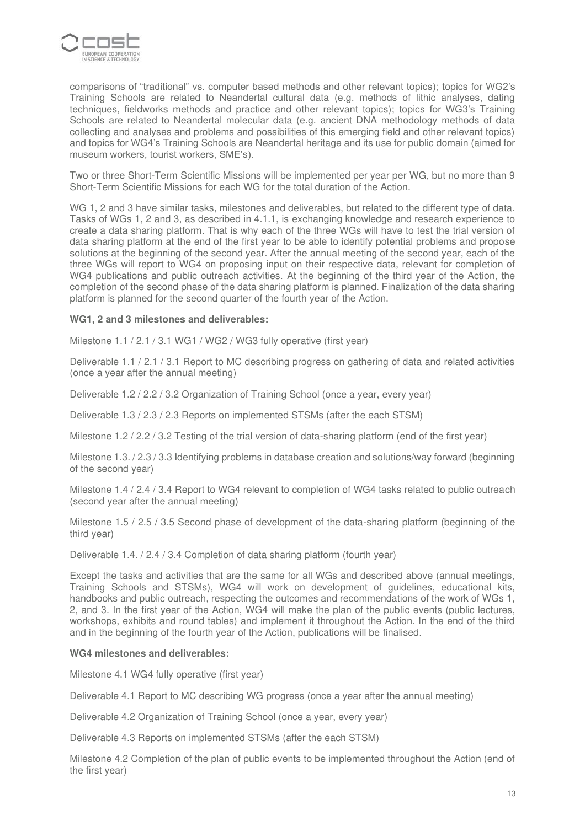

comparisons of "traditional" vs. computer based methods and other relevant topics); topics for WG2's Training Schools are related to Neandertal cultural data (e.g. methods of lithic analyses, dating techniques, fieldworks methods and practice and other relevant topics); topics for WG3's Training Schools are related to Neandertal molecular data (e.g. ancient DNA methodology methods of data collecting and analyses and problems and possibilities of this emerging field and other relevant topics) and topics for WG4's Training Schools are Neandertal heritage and its use for public domain (aimed for museum workers, tourist workers, SME's).

Two or three Short-Term Scientific Missions will be implemented per year per WG, but no more than 9 Short-Term Scientific Missions for each WG for the total duration of the Action.

WG 1, 2 and 3 have similar tasks, milestones and deliverables, but related to the different type of data. Tasks of WGs 1, 2 and 3, as described in 4.1.1, is exchanging knowledge and research experience to create a data sharing platform. That is why each of the three WGs will have to test the trial version of data sharing platform at the end of the first year to be able to identify potential problems and propose solutions at the beginning of the second year. After the annual meeting of the second year, each of the three WGs will report to WG4 on proposing input on their respective data, relevant for completion of WG4 publications and public outreach activities. At the beginning of the third year of the Action, the completion of the second phase of the data sharing platform is planned. Finalization of the data sharing platform is planned for the second quarter of the fourth year of the Action.

### **WG1, 2 and 3 milestones and deliverables:**

Milestone 1.1 / 2.1 / 3.1 WG1 / WG2 / WG3 fully operative (first year)

Deliverable 1.1 / 2.1 / 3.1 Report to MC describing progress on gathering of data and related activities (once a year after the annual meeting)

Deliverable 1.2 / 2.2 / 3.2 Organization of Training School (once a year, every year)

Deliverable 1.3 / 2.3 / 2.3 Reports on implemented STSMs (after the each STSM)

Milestone 1.2 / 2.2 / 3.2 Testing of the trial version of data-sharing platform (end of the first year)

Milestone 1.3. / 2.3 / 3.3 Identifying problems in database creation and solutions/way forward (beginning of the second year)

Milestone 1.4 / 2.4 / 3.4 Report to WG4 relevant to completion of WG4 tasks related to public outreach (second year after the annual meeting)

Milestone 1.5 / 2.5 / 3.5 Second phase of development of the data-sharing platform (beginning of the third year)

Deliverable 1.4. / 2.4 / 3.4 Completion of data sharing platform (fourth year)

Except the tasks and activities that are the same for all WGs and described above (annual meetings, Training Schools and STSMs), WG4 will work on development of guidelines, educational kits, handbooks and public outreach, respecting the outcomes and recommendations of the work of WGs 1, 2, and 3. In the first year of the Action, WG4 will make the plan of the public events (public lectures, workshops, exhibits and round tables) and implement it throughout the Action. In the end of the third and in the beginning of the fourth year of the Action, publications will be finalised.

#### **WG4 milestones and deliverables:**

Milestone 4.1 WG4 fully operative (first year)

Deliverable 4.1 Report to MC describing WG progress (once a year after the annual meeting)

Deliverable 4.2 Organization of Training School (once a year, every year)

Deliverable 4.3 Reports on implemented STSMs (after the each STSM)

Milestone 4.2 Completion of the plan of public events to be implemented throughout the Action (end of the first year)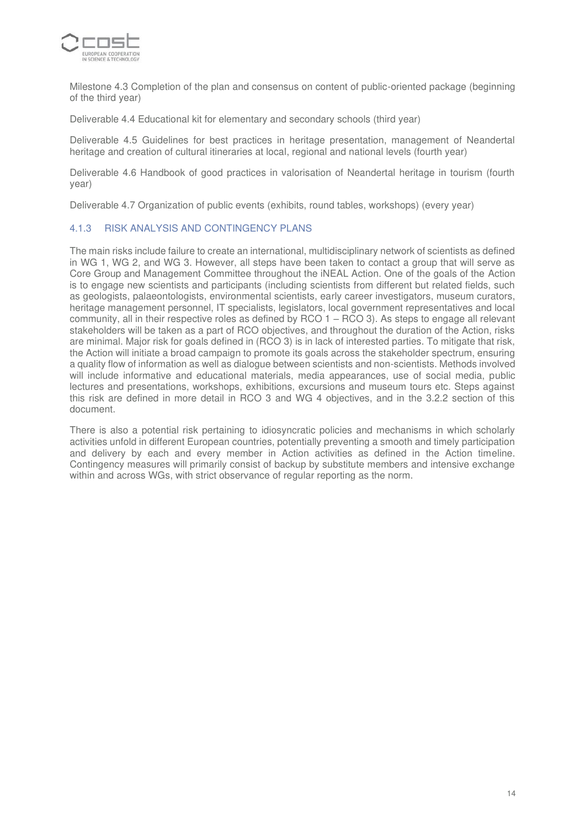

Milestone 4.3 Completion of the plan and consensus on content of public-oriented package (beginning of the third year)

Deliverable 4.4 Educational kit for elementary and secondary schools (third year)

Deliverable 4.5 Guidelines for best practices in heritage presentation, management of Neandertal heritage and creation of cultural itineraries at local, regional and national levels (fourth year)

Deliverable 4.6 Handbook of good practices in valorisation of Neandertal heritage in tourism (fourth year)

Deliverable 4.7 Organization of public events (exhibits, round tables, workshops) (every year)

### 4.1.3 RISK ANALYSIS AND CONTINGENCY PLANS

The main risks include failure to create an international, multidisciplinary network of scientists as defined in WG 1, WG 2, and WG 3. However, all steps have been taken to contact a group that will serve as Core Group and Management Committee throughout the iNEAL Action. One of the goals of the Action is to engage new scientists and participants (including scientists from different but related fields, such as geologists, palaeontologists, environmental scientists, early career investigators, museum curators, heritage management personnel, IT specialists, legislators, local government representatives and local community, all in their respective roles as defined by RCO 1 – RCO 3). As steps to engage all relevant stakeholders will be taken as a part of RCO objectives, and throughout the duration of the Action, risks are minimal. Major risk for goals defined in (RCO 3) is in lack of interested parties. To mitigate that risk, the Action will initiate a broad campaign to promote its goals across the stakeholder spectrum, ensuring a quality flow of information as well as dialogue between scientists and non-scientists. Methods involved will include informative and educational materials, media appearances, use of social media, public lectures and presentations, workshops, exhibitions, excursions and museum tours etc. Steps against this risk are defined in more detail in RCO 3 and WG 4 objectives, and in the 3.2.2 section of this document.

There is also a potential risk pertaining to idiosyncratic policies and mechanisms in which scholarly activities unfold in different European countries, potentially preventing a smooth and timely participation and delivery by each and every member in Action activities as defined in the Action timeline. Contingency measures will primarily consist of backup by substitute members and intensive exchange within and across WGs, with strict observance of regular reporting as the norm.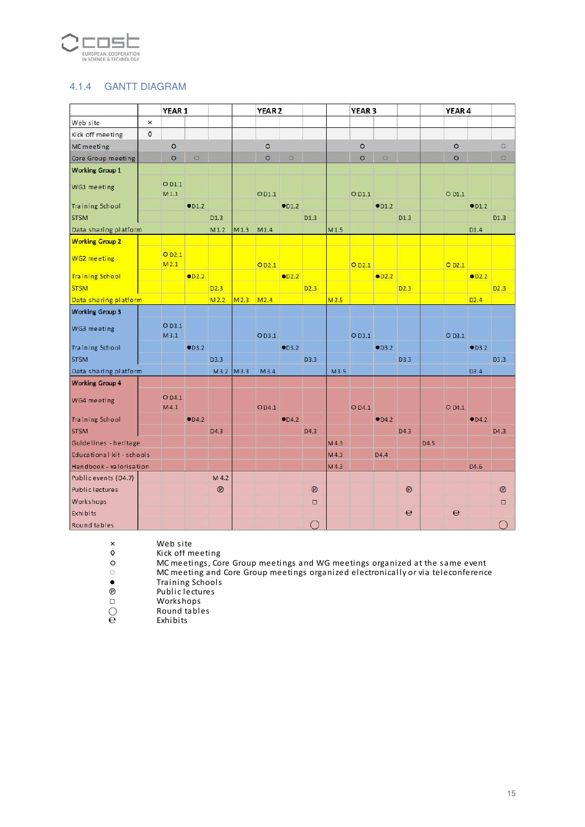

# 4.1.4 GANTT DIAGRAM

|                           |             | YEAR <sub>1</sub>          |                            |                  | YEAR <sub>2</sub> |         |                |                  | YEAR <sub>3</sub> |                   |                           |                  |                  | YEAR <sub>4</sub> |                |                   |
|---------------------------|-------------|----------------------------|----------------------------|------------------|-------------------|---------|----------------|------------------|-------------------|-------------------|---------------------------|------------------|------------------|-------------------|----------------|-------------------|
| Web site                  | $\times$    |                            |                            |                  |                   |         |                |                  |                   |                   |                           |                  |                  |                   |                |                   |
| Kick off meeting          | $\mathbf 0$ |                            |                            |                  |                   |         |                |                  |                   |                   |                           |                  |                  |                   |                |                   |
| MC meeting                |             | $\circ$                    |                            |                  |                   | $\circ$ |                |                  |                   | $\circ$           |                           |                  |                  | $\circ$           |                | ö                 |
| Core Group meeting        |             | $\circ$                    | $\ddot{\circ}$             |                  |                   | $\circ$ | $\ddot{\circ}$ |                  |                   | $\circ$           | $\ddot{\circ}$            |                  |                  | $\circ$           |                | $\circ$           |
| <b>Working Group 1</b>    |             |                            |                            |                  |                   |         |                |                  |                   |                   |                           |                  |                  |                   |                |                   |
| WG1 meeting               |             | OD1.1<br>M1.1              |                            |                  |                   | OD1.1   |                |                  |                   | O D1.1            |                           |                  |                  | Q <sub>D1.1</sub> |                |                   |
| <b>Training School</b>    |             |                            | $\bullet$ D1.2             |                  |                   |         | •01.2          |                  |                   |                   | $\bullet$ <sub>D1.2</sub> |                  |                  |                   | $\bullet$ D1.2 |                   |
| <b>STSM</b>               |             |                            |                            | D <sub>1.3</sub> |                   |         |                | D1.3             |                   |                   |                           | D <sub>1.3</sub> |                  |                   |                | D1.3              |
| Data sharing platform     |             |                            |                            | M1.2             | M1.3              | M1.4    |                |                  | M1.5              |                   |                           |                  |                  |                   | D1.4           |                   |
| <b>Working Group 2</b>    |             |                            |                            |                  |                   |         |                |                  |                   |                   |                           |                  |                  |                   |                |                   |
| WG2 meeting               |             | O <sub>D2.1</sub><br>M2.1  |                            |                  |                   | OD2.1   |                |                  |                   | O <sub>D2.1</sub> |                           |                  |                  | O <sub>D2.1</sub> |                |                   |
| <b>Training School</b>    |             |                            | $\bullet$ D <sub>2.2</sub> |                  |                   |         | OD2.2          |                  |                   |                   | CD2.2                     |                  |                  |                   | CD2.2          |                   |
| <b>STSM</b>               |             |                            |                            | D2.3             |                   |         |                | D <sub>2.3</sub> |                   |                   |                           | D2.3             |                  |                   |                | D2.3              |
| Data sharing platform     |             |                            |                            | M <sub>2.2</sub> | M <sub>2.3</sub>  | M2.4    |                |                  | M2.5              |                   |                           |                  |                  |                   | D2.4           |                   |
| <b>Working Group 3</b>    |             |                            |                            |                  |                   |         |                |                  |                   |                   |                           |                  |                  |                   |                |                   |
| WG3 meeting               |             | O <sub>D3.1</sub><br>M3.1  |                            |                  |                   | OD3.1   |                |                  |                   | O <sub>D3.1</sub> |                           |                  |                  | O D3.1            |                |                   |
| <b>Training School</b>    |             |                            | $\bullet$ D3.2             |                  |                   |         | CD3.2          |                  |                   |                   | CD3.2                     |                  |                  |                   | CD3.2          |                   |
| <b>STSM</b>               |             |                            |                            | D3.3             |                   |         |                | D3.3             |                   |                   |                           | D3.3             |                  |                   |                | D <sub>3</sub> .3 |
| Data sharing platform     |             |                            |                            | M3.2 M3.3        |                   | M3.4    |                |                  | M3.5              |                   |                           |                  |                  |                   | D3.4           |                   |
| <b>Working Group 4</b>    |             |                            |                            |                  |                   |         |                |                  |                   |                   |                           |                  |                  |                   |                |                   |
| WG4 meeting               |             | O D <sub>4.1</sub><br>M4.1 |                            |                  |                   | OD4.1   |                |                  |                   | O D4.1            |                           |                  |                  | O D4.1            |                |                   |
| <b>Training School</b>    |             |                            | $\bullet$ D4.2             |                  |                   |         | $\bullet$ D4.2 |                  |                   |                   | OD4.2                     |                  |                  |                   | $\bullet$ D4.2 |                   |
| <b>STSM</b>               |             |                            |                            | D4.3             |                   |         |                | D <sub>4</sub> 3 |                   |                   |                           | D <sub>4.3</sub> |                  |                   |                | D <sub>4</sub> .3 |
| Guidelines - heritage     |             |                            |                            |                  |                   |         |                |                  | MA3               |                   |                           |                  | D <sub>4.5</sub> |                   |                |                   |
| Educational kit - schools |             |                            |                            |                  |                   |         |                |                  | M4.3              |                   | D4.4                      |                  |                  |                   |                |                   |
| Handbook - valorisation   |             |                            |                            |                  |                   |         |                |                  | M4.3              |                   |                           |                  |                  |                   | D4.6           |                   |
| Public events (D4.7)      |             |                            |                            | M 4.2            |                   |         |                |                  |                   |                   |                           |                  |                  |                   |                |                   |
| <b>Public lectures</b>    |             |                            |                            | $^{\circ}$       |                   |         |                | $\circledR$      |                   |                   |                           | (9)              |                  |                   |                | $^{\circ}$        |
| Workshops                 |             |                            |                            |                  |                   |         |                | $\Box$           |                   |                   |                           |                  |                  |                   |                | $\Box$            |
| Exhibits                  |             |                            |                            |                  |                   |         |                |                  |                   |                   |                           | e                |                  | $\overline{e}$    |                |                   |
| Round tables              |             |                            |                            |                  |                   |         |                |                  |                   |                   |                           |                  |                  |                   |                | $\bigcap$         |

Web site

 $\frac{\times}{\Diamond}$ ◊ Kick off meeting

MC meetings, Core Group meetings and WG meetings organized at the same event

MC meeting and Core Group meetings organized electronically or via teleconference

●Training Schools

℗ Public lectures

○

□ Workshops  $\bigcirc$  Round tables

 $\begin{matrix} 1 \\ 2 \\ 3 \end{matrix}$  Round to Round to Round to Round to  $\begin{matrix} 1 \\ 2 \\ 3 \end{matrix}$